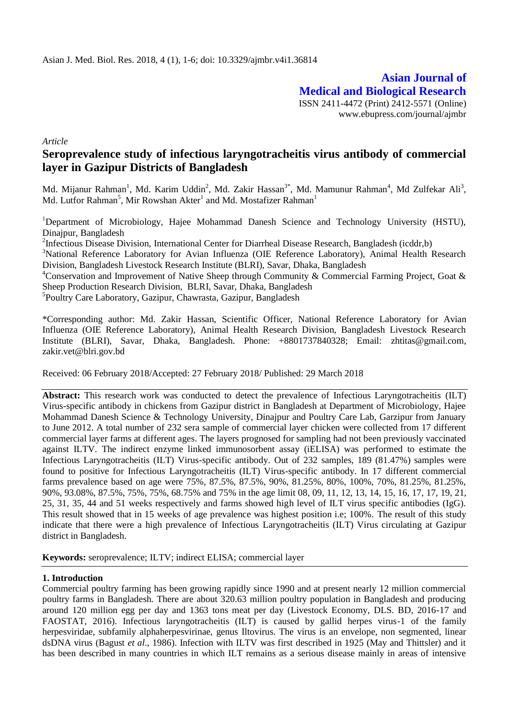**Asian Journal of Medical and Biological Research** ISSN 2411-4472 (Print) 2412-5571 (Online) www.ebupress.com/journal/ajmbr

*Article*

# **Seroprevalence study of infectious laryngotracheitis virus antibody of commercial layer in Gazipur Districts of Bangladesh**

Md. Mijanur Rahman<sup>1</sup>, Md. Karim Uddin<sup>2</sup>, Md. Zakir Hassan<sup>3\*</sup>, Md. Mamunur Rahman<sup>4</sup>, Md Zulfekar Ali<sup>3</sup>, Md. Lutfor Rahman<sup>5</sup>, Mir Rowshan Akter<sup>1</sup> and Md. Mostafizer Rahman<sup>1</sup>

<sup>1</sup>Department of Microbiology, Hajee Mohammad Danesh Science and Technology University (HSTU), Dinajpur, Bangladesh

<sup>2</sup>Infectious Disease Division, International Center for Diarrheal Disease Research, Bangladesh (icddr,b)

<sup>3</sup>National Reference Laboratory for Avian Influenza (OIE Reference Laboratory), Animal Health Research Division, Bangladesh Livestock Research Institute (BLRI), Savar, Dhaka, Bangladesh

<sup>4</sup>Conservation and Improvement of Native Sheep through Community & Commercial Farming Project, Goat & Sheep Production Research Division, BLRI, Savar, Dhaka, Bangladesh

5 Poultry Care Laboratory, Gazipur, Chawrasta, Gazipur, Bangladesh

\*Corresponding author: Md. Zakir Hassan, Scientific Officer, National Reference Laboratory for Avian Influenza (OIE Reference Laboratory), Animal Health Research Division, Bangladesh Livestock Research Institute (BLRI), Savar, Dhaka, Bangladesh. Phone: +8801737840328; Email: [zhtitas@gmail.com,](mailto:zhtitas@gmail.com) [zakir.vet@blri.gov.bd](mailto:zakir.vet@blri.gov.bd)

Received: 06 February 2018/Accepted: 27 February 2018/ Published: 29 March 2018

**Abstract:** This research work was conducted to detect the prevalence of Infectious Laryngotracheitis (ILT) Virus-specific antibody in chickens from Gazipur district in Bangladesh at Department of Microbiology, Hajee Mohammad Danesh Science & Technology University, Dinajpur and Poultry Care Lab, Garzipur from January to June 2012. A total number of 232 sera sample of commercial layer chicken were collected from 17 different commercial layer farms at different ages. The layers prognosed for sampling had not been previously vaccinated against ILTV. The indirect enzyme linked immunosorbent assay (iELISA) was performed to estimate the Infectious Laryngotracheitis (ILT) Virus-specific antibody. Out of 232 samples, 189 (81.47%) samples were found to positive for Infectious Laryngotracheitis (ILT) Virus-specific antibody. In 17 different commercial farms prevalence based on age were 75%, 87.5%, 87.5%, 90%, 81.25%, 80%, 100%, 70%, 81.25%, 81.25%, 90%, 93.08%, 87.5%, 75%, 75%, 68.75% and 75% in the age limit 08, 09, 11, 12, 13, 14, 15, 16, 17, 17, 19, 21, 25, 31, 35, 44 and 51 weeks respectively and farms showed high level of ILT virus specific antibodies (IgG). This result showed that in 15 weeks of age prevalence was highest position i.e; 100%. The result of this study indicate that there were a high prevalence of Infectious Laryngotracheitis (ILT) Virus circulating at Gazipur district in Bangladesh.

**Keywords:** seroprevalence; ILTV; indirect ELISA; commercial layer

## **1. Introduction**

Commercial poultry farming has been growing rapidly since 1990 and at present nearly 12 million commercial poultry farms in Bangladesh. There are about 320.63 million poultry population in Bangladesh and producing around 120 million egg per day and 1363 tons meat per day (Livestock Economy, DLS. BD, 2016-17 and FAOSTAT, 2016). Infectious laryngotracheitis (ILT) is caused by gallid herpes virus-1 of the family herpesviridae, subfamily alphaherpesvirinae, genus Iltovirus. The virus is an envelope, non segmented, linear dsDNA virus (Bagust *et al*., 1986). Infection with ILTV was first described in 1925 (May and Thittsler) and it has been described in many countries in which ILT remains as a serious disease mainly in areas of intensive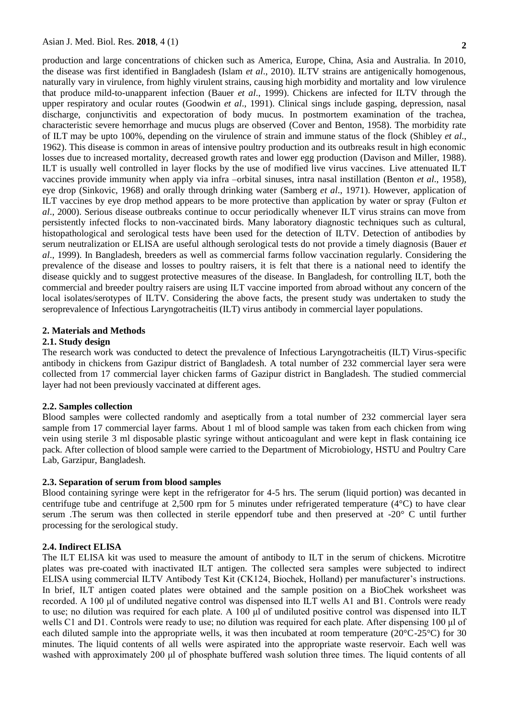production and large concentrations of chicken such as America, Europe, China, Asia and Australia. In 2010, the disease was first identified in Bangladesh (Islam *et al*., 2010). ILTV strains are antigenically homogenous, naturally vary in virulence, from highly virulent strains, causing high morbidity and mortality and low virulence that produce mild-to-unapparent infection (Bauer *et al*., 1999). Chickens are infected for ILTV through the upper respiratory and ocular routes (Goodwin *et al*., 1991). Clinical sings include gasping, depression, nasal discharge, conjunctivitis and expectoration of body mucus. In postmortem examination of the trachea, characteristic severe hemorrhage and mucus plugs are observed (Cover and Benton, 1958). The morbidity rate of ILT may be upto 100%, depending on the virulence of strain and immune status of the flock (Shibley *et al*., 1962). This disease is common in areas of intensive poultry production and its outbreaks result in high economic losses due to increased mortality, decreased growth rates and lower egg production (Davison and Miller, 1988). ILT is usually well controlled in layer flocks by the use of modified live virus vaccines. Live attenuated ILT vaccines provide immunity when apply via infra –orbital sinuses, intra nasal instillation (Benton *et al*., 1958), eye drop (Sinkovic, 1968) and orally through drinking water (Samberg *et al*., 1971). However, application of ILT vaccines by eye drop method appears to be more protective than application by water or spray (Fulton *et al*., 2000). Serious disease outbreaks continue to occur periodically whenever ILT virus strains can move from persistently infected flocks to non-vaccinated birds. Many laboratory diagnostic techniques such as cultural, histopathological and serological tests have been used for the detection of ILTV. Detection of antibodies by serum neutralization or ELISA are useful although serological tests do not provide a timely diagnosis (Bauer *et al*., 1999). In Bangladesh, breeders as well as commercial farms follow vaccination regularly. Considering the prevalence of the disease and losses to poultry raisers, it is felt that there is a national need to identify the disease quickly and to suggest protective measures of the disease. In Bangladesh, for controlling ILT, both the commercial and breeder poultry raisers are using ILT vaccine imported from abroad without any concern of the local isolates/serotypes of ILTV. Considering the above facts, the present study was undertaken to study the seroprevalence of Infectious Laryngotracheitis (ILT) virus antibody in commercial layer populations.

# **2. Materials and Methods**

### **2.1. Study design**

The research work was conducted to detect the prevalence of Infectious Laryngotracheitis (ILT) Virus-specific antibody in chickens from Gazipur district of Bangladesh. A total number of 232 commercial layer sera were collected from 17 commercial layer chicken farms of Gazipur district in Bangladesh. The studied commercial layer had not been previously vaccinated at different ages.

#### **2.2. Samples collection**

Blood samples were collected randomly and aseptically from a total number of 232 commercial layer sera sample from 17 commercial layer farms. About 1 ml of blood sample was taken from each chicken from wing vein using sterile 3 ml disposable plastic syringe without anticoagulant and were kept in flask containing ice pack. After collection of blood sample were carried to the Department of Microbiology, HSTU and Poultry Care Lab, Garzipur, Bangladesh.

# **2.3. Separation of serum from blood samples**

Blood containing syringe were kept in the refrigerator for 4-5 hrs. The serum (liquid portion) was decanted in centrifuge tube and centrifuge at 2,500 rpm for 5 minutes under refrigerated temperature (4°C) to have clear serum .The serum was then collected in sterile eppendorf tube and then preserved at -20° C until further processing for the serological study.

## **2.4. Indirect ELISA**

The ILT ELISA kit was used to measure the amount of antibody to ILT in the serum of chickens. Microtitre plates was pre-coated with inactivated ILT antigen. The collected sera samples were subjected to indirect ELISA using commercial ILTV Antibody Test Kit (CK124, Biochek, Holland) per manufacturer's instructions. In brief, ILT antigen coated plates were obtained and the sample position on a BioChek worksheet was recorded. A 100 μl of undiluted negative control was dispensed into ILT wells A1 and B1. Controls were ready to use; no dilution was required for each plate. A 100 μl of undiluted positive control was dispensed into ILT wells C1 and D1. Controls were ready to use; no dilution was required for each plate. After dispensing 100 μl of each diluted sample into the appropriate wells, it was then incubated at room temperature ( $20^{\circ}C-25^{\circ}C$ ) for 30 minutes. The liquid contents of all wells were aspirated into the appropriate waste reservoir. Each well was washed with approximately 200 μl of phosphate buffered wash solution three times. The liquid contents of all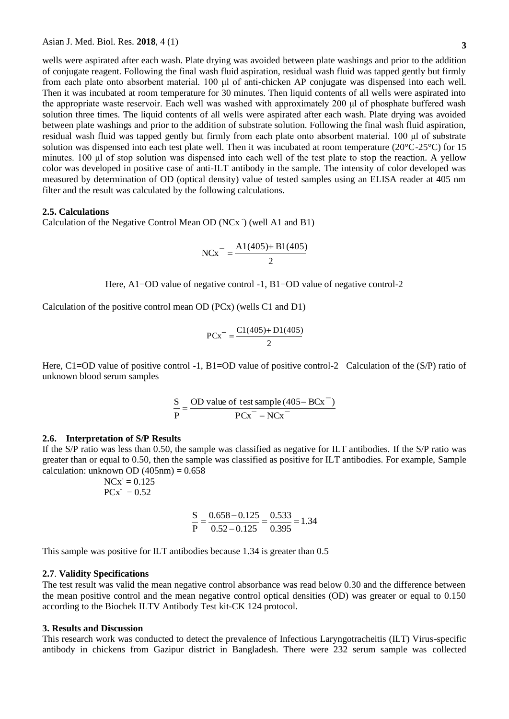wells were aspirated after each wash. Plate drying was avoided between plate washings and prior to the addition of conjugate reagent. Following the final wash fluid aspiration, residual wash fluid was tapped gently but firmly from each plate onto absorbent material. 100 μl of anti-chicken AP conjugate was dispensed into each well. Then it was incubated at room temperature for 30 minutes. Then liquid contents of all wells were aspirated into the appropriate waste reservoir. Each well was washed with approximately 200 μl of phosphate buffered wash solution three times. The liquid contents of all wells were aspirated after each wash. Plate drying was avoided between plate washings and prior to the addition of substrate solution. Following the final wash fluid aspiration, residual wash fluid was tapped gently but firmly from each plate onto absorbent material. 100 μl of substrate solution was dispensed into each test plate well. Then it was incubated at room temperature (20°C-25°C) for 15 minutes. 100 μl of stop solution was dispensed into each well of the test plate to stop the reaction. A yellow color was developed in positive case of anti-ILT antibody in the sample. The intensity of color developed was measured by determination of OD (optical density) value of tested samples using an ELISA reader at 405 nm filter and the result was calculated by the following calculations.

## **2.5. Calculations**

Calculation of the Negative Control Mean OD (NCx<sup>-</sup>) (well A1 and B1)

$$
NCx = \frac{A1(405) + B1(405)}{2}
$$

Here, A1=OD value of negative control -1, B1=OD value of negative control-2

Calculation of the positive control mean OD (PCx) (wells C1 and D1)

$$
PCx^{-} = \frac{C1(405) + D1(405)}{2}
$$

Here, C1=OD value of positive control -1, B1=OD value of positive control-2 Calculation of the (S/P) ratio of unknown blood serum samples

$$
\frac{S}{P} = \frac{OD \text{ value of test sample } (405 - BCx^{-})}{PCx^{-} - NCx^{-}}
$$

#### **2.6. Interpretation of S/P Results**

If the S/P ratio was less than 0.50, the sample was classified as negative for ILT antibodies. If the S/P ratio was greater than or equal to 0.50, then the sample was classified as positive for ILT antibodies. For example, Sample calculation: unknown OD  $(405nm) = 0.658$ 

$$
NCx = 0.125
$$

$$
PCx = 0.52
$$

$$
\frac{S}{P} = \frac{0.658 - 0.125}{0.52 - 0.125} = \frac{0.533}{0.395} = 1.34
$$

This sample was positive for ILT antibodies because 1.34 is greater than 0.5

#### **2.7**. **Validity Specifications**

The test result was valid the mean negative control absorbance was read below 0.30 and the difference between the mean positive control and the mean negative control optical densities (OD) was greater or equal to 0.150 according to the Biochek ILTV Antibody Test kit-CK 124 protocol.

#### **3. Results and Discussion**

This research work was conducted to detect the prevalence of Infectious Laryngotracheitis (ILT) Virus-specific antibody in chickens from Gazipur district in Bangladesh. There were 232 serum sample was collected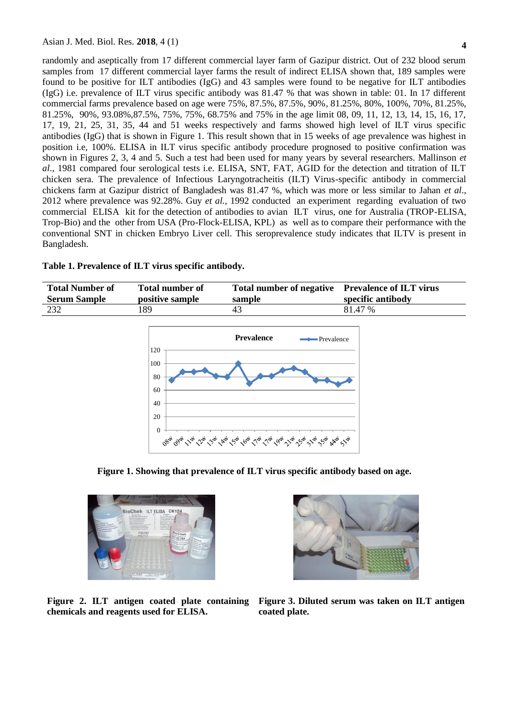randomly and aseptically from 17 different commercial layer farm of Gazipur district. Out of 232 blood serum samples from 17 different commercial layer farms the result of indirect ELISA shown that, 189 samples were found to be positive for ILT antibodies (IgG) and 43 samples were found to be negative for ILT antibodies (IgG) i.e. prevalence of ILT virus specific antibody was 81.47 % that was shown in table: 01. In 17 different commercial farms prevalence based on age were 75%, 87.5%, 87.5%, 90%, 81.25%, 80%, 100%, 70%, 81.25%, 81.25%, 90%, 93.08%,87.5%, 75%, 75%, 68.75% and 75% in the age limit 08, 09, 11, 12, 13, 14, 15, 16, 17, 17, 19, 21, 25, 31, 35, 44 and 51 weeks respectively and farms showed high level of ILT virus specific antibodies (IgG) that is shown in Figure 1. This result shown that in 15 weeks of age prevalence was highest in position i.e, 100%. ELISA in ILT virus specific antibody procedure prognosed to positive confirmation was shown in Figures 2, 3, 4 and 5. Such a test had been used for many years by several researchers. Mallinson *et al*., 1981 compared four serological tests i.e. ELISA, SNT, FAT, AGID for the detection and titration of ILT chicken sera. The prevalence of Infectious Laryngotracheitis (ILT) Virus-specific antibody in commercial chickens farm at Gazipur district of Bangladesh was 81.47 %, which was more or less similar to Jahan *et al*., 2012 where prevalence was 92.28%. Guy *et al.,* 1992 conducted an experiment regarding evaluation of two commercial ELISA kit for the detection of antibodies to avian ILT virus, one for Australia (TROP-ELISA, Trop-Bio) and the other from USA (Pro-Flock-ELISA, KPL) as well as to compare their performance with the conventional SNT in chicken Embryo Liver cell. This seroprevalence study indicates that ILTV is present in Bangladesh.

## **Table 1. Prevalence of ILT virus specific antibody.**

| <b>Total Number of</b><br><b>Serum Sample</b> | <b>Total number of</b><br>positive sample | Total number of negative Prevalence of ILT virus<br>sample | specific antibody |
|-----------------------------------------------|-------------------------------------------|------------------------------------------------------------|-------------------|
| 232                                           | 89                                        | 43                                                         | 81.47 %           |
|                                               |                                           |                                                            |                   |



**Figure 1. Showing that prevalence of ILT virus specific antibody based on age.**



**chemicals and reagents used for ELISA.**



**Figure 2. ILT antigen coated plate containing Figure 3. Diluted serum was taken on ILT antigen coated plate.**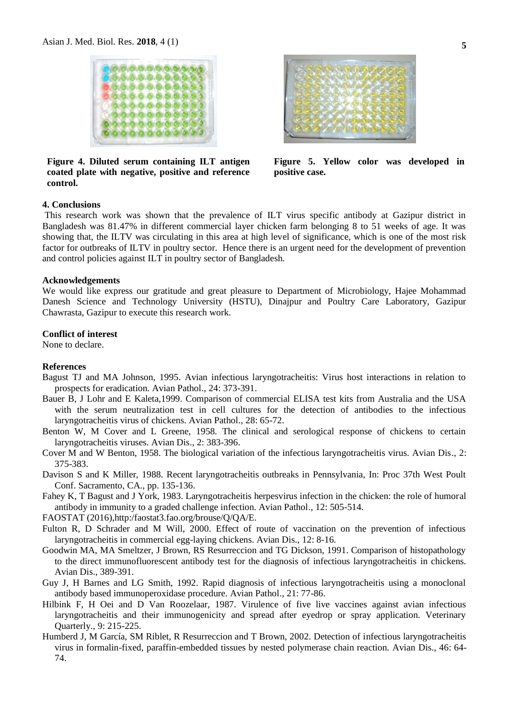

**Figure 4. Diluted serum containing ILT antigen coated plate with negative, positive and reference control.**



**Figure 5. Yellow color was developed in positive case.**

#### **4. Conclusions**

This research work was shown that the prevalence of ILT virus specific antibody at Gazipur district in Bangladesh was 81.47% in different commercial layer chicken farm belonging 8 to 51 weeks of age. It was showing that, the ILTV was circulating in this area at high level of significance, which is one of the most risk factor for outbreaks of ILTV in poultry sector. Hence there is an urgent need for the development of prevention and control policies against ILT in poultry sector of Bangladesh.

## **Acknowledgements**

We would like express our gratitude and great pleasure to Department of Microbiology, Hajee Mohammad Danesh Science and Technology University (HSTU), Dinajpur and Poultry Care Laboratory, Gazipur Chawrasta, Gazipur to execute this research work.

#### **Conflict of interest**

None to declare.

#### **References**

- Bagust TJ and MA Johnson, 1995. Avian infectious laryngotracheitis: Virus host interactions in relation to prospects for eradication. Avian Pathol., 24: 373-391.
- Bauer B, J Lohr and E Kaleta,1999. Comparison of commercial ELISA test kits from Australia and the USA with the serum neutralization test in cell cultures for the detection of antibodies to the infectious laryngotracheitis virus of chickens. Avian Pathol., 28: 65-72.
- Benton W, M Cover and L Greene, 1958. The clinical and serological response of chickens to certain laryngotracheitis viruses. Avian Dis., 2: 383-396.
- Cover M and W Benton, 1958. The biological variation of the infectious laryngotracheitis virus. Avian Dis., 2: 375-383.
- Davison S and K Miller, 1988. Recent laryngotracheitis outbreaks in Pennsylvania, In: Proc 37th West Poult Conf. Sacramento, CA., pp. 135-136.
- Fahey K, T Bagust and J York, 1983. Laryngotracheitis herpesvirus infection in the chicken: the role of humoral antibody in immunity to a graded challenge infection. Avian Pathol., 12: 505-514.
- FAOSTAT (2016),http:/faostat3.fao.org/brouse/Q/QA/E.
- Fulton R, D Schrader and M Will, 2000. Effect of route of vaccination on the prevention of infectious laryngotracheitis in commercial egg-laying chickens. Avian Dis., 12: 8-16.
- Goodwin MA, MA Smeltzer, J Brown, RS Resurreccion and TG Dickson, 1991. Comparison of histopathology to the direct immunofluorescent antibody test for the diagnosis of infectious laryngotracheitis in chickens. Avian Dis., 389-391.
- Guy J, H Barnes and LG Smith, 1992. Rapid diagnosis of infectious laryngotracheitis using a monoclonal antibody based immunoperoxidase procedure. Avian Pathol., 21: 77-86.
- Hilbink F, H Oei and D Van Roozelaar, 1987. Virulence of five live vaccines against avian infectious laryngotracheitis and their immunogenicity and spread after eyedrop or spray application. Veterinary Quarterly., 9: 215-225.
- Humberd J, M García, SM Riblet, R Resurreccion and T Brown, 2002. Detection of infectious laryngotracheitis virus in formalin-fixed, paraffin-embedded tissues by nested polymerase chain reaction. Avian Dis., 46: 64- 74.